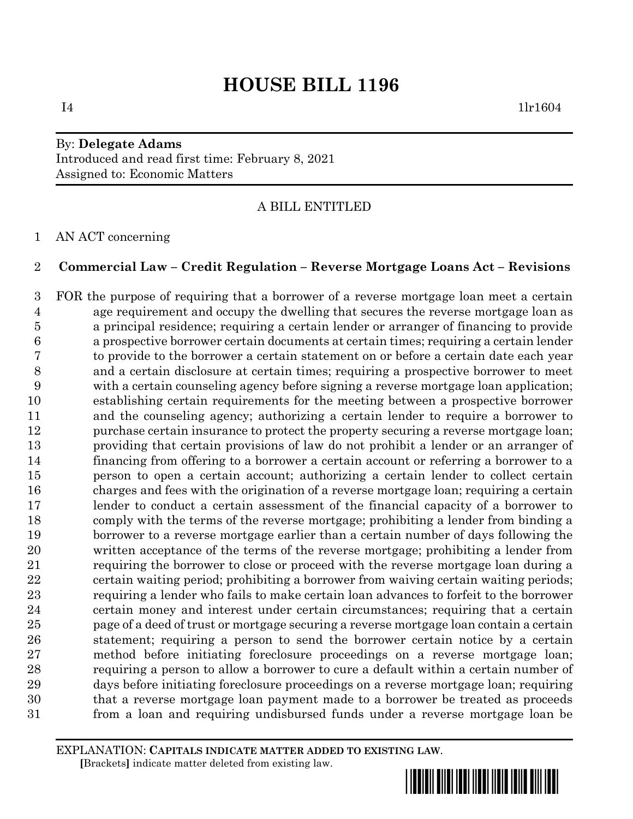## By: **Delegate Adams** Introduced and read first time: February 8, 2021 Assigned to: Economic Matters

A BILL ENTITLED

AN ACT concerning

### **Commercial Law – Credit Regulation – Reverse Mortgage Loans Act – Revisions**

 FOR the purpose of requiring that a borrower of a reverse mortgage loan meet a certain age requirement and occupy the dwelling that secures the reverse mortgage loan as a principal residence; requiring a certain lender or arranger of financing to provide a prospective borrower certain documents at certain times; requiring a certain lender to provide to the borrower a certain statement on or before a certain date each year and a certain disclosure at certain times; requiring a prospective borrower to meet with a certain counseling agency before signing a reverse mortgage loan application; establishing certain requirements for the meeting between a prospective borrower and the counseling agency; authorizing a certain lender to require a borrower to purchase certain insurance to protect the property securing a reverse mortgage loan; providing that certain provisions of law do not prohibit a lender or an arranger of financing from offering to a borrower a certain account or referring a borrower to a person to open a certain account; authorizing a certain lender to collect certain charges and fees with the origination of a reverse mortgage loan; requiring a certain lender to conduct a certain assessment of the financial capacity of a borrower to comply with the terms of the reverse mortgage; prohibiting a lender from binding a borrower to a reverse mortgage earlier than a certain number of days following the written acceptance of the terms of the reverse mortgage; prohibiting a lender from 21 requiring the borrower to close or proceed with the reverse mortgage loan during a certain waiting period; prohibiting a borrower from waiving certain waiting periods; requiring a lender who fails to make certain loan advances to forfeit to the borrower certain money and interest under certain circumstances; requiring that a certain page of a deed of trust or mortgage securing a reverse mortgage loan contain a certain statement; requiring a person to send the borrower certain notice by a certain method before initiating foreclosure proceedings on a reverse mortgage loan; requiring a person to allow a borrower to cure a default within a certain number of days before initiating foreclosure proceedings on a reverse mortgage loan; requiring that a reverse mortgage loan payment made to a borrower be treated as proceeds from a loan and requiring undisbursed funds under a reverse mortgage loan be

EXPLANATION: **CAPITALS INDICATE MATTER ADDED TO EXISTING LAW**.  **[**Brackets**]** indicate matter deleted from existing law.

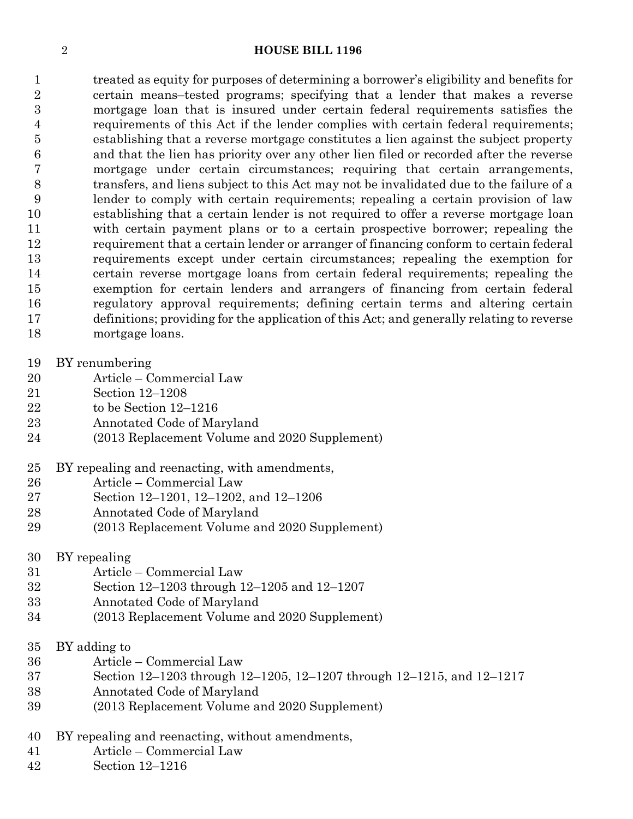#### **HOUSE BILL 1196**

 treated as equity for purposes of determining a borrower's eligibility and benefits for certain means–tested programs; specifying that a lender that makes a reverse mortgage loan that is insured under certain federal requirements satisfies the requirements of this Act if the lender complies with certain federal requirements; establishing that a reverse mortgage constitutes a lien against the subject property and that the lien has priority over any other lien filed or recorded after the reverse mortgage under certain circumstances; requiring that certain arrangements, transfers, and liens subject to this Act may not be invalidated due to the failure of a lender to comply with certain requirements; repealing a certain provision of law establishing that a certain lender is not required to offer a reverse mortgage loan with certain payment plans or to a certain prospective borrower; repealing the requirement that a certain lender or arranger of financing conform to certain federal requirements except under certain circumstances; repealing the exemption for certain reverse mortgage loans from certain federal requirements; repealing the exemption for certain lenders and arrangers of financing from certain federal regulatory approval requirements; defining certain terms and altering certain definitions; providing for the application of this Act; and generally relating to reverse mortgage loans.

- BY renumbering
- Article Commercial Law
- Section 12–1208
- to be Section 12–1216
- Annotated Code of Maryland
- (2013 Replacement Volume and 2020 Supplement)
- BY repealing and reenacting, with amendments,
- Article Commercial Law
- Section 12–1201, 12–1202, and 12–1206
- Annotated Code of Maryland
- (2013 Replacement Volume and 2020 Supplement)
- BY repealing
- Article Commercial Law
- Section 12–1203 through 12–1205 and 12–1207
- Annotated Code of Maryland
- (2013 Replacement Volume and 2020 Supplement)
- BY adding to
- Article Commercial Law
- Section 12–1203 through 12–1205, 12–1207 through 12–1215, and 12–1217
- Annotated Code of Maryland
- (2013 Replacement Volume and 2020 Supplement)
- BY repealing and reenacting, without amendments,
- Article Commercial Law
- Section 12–1216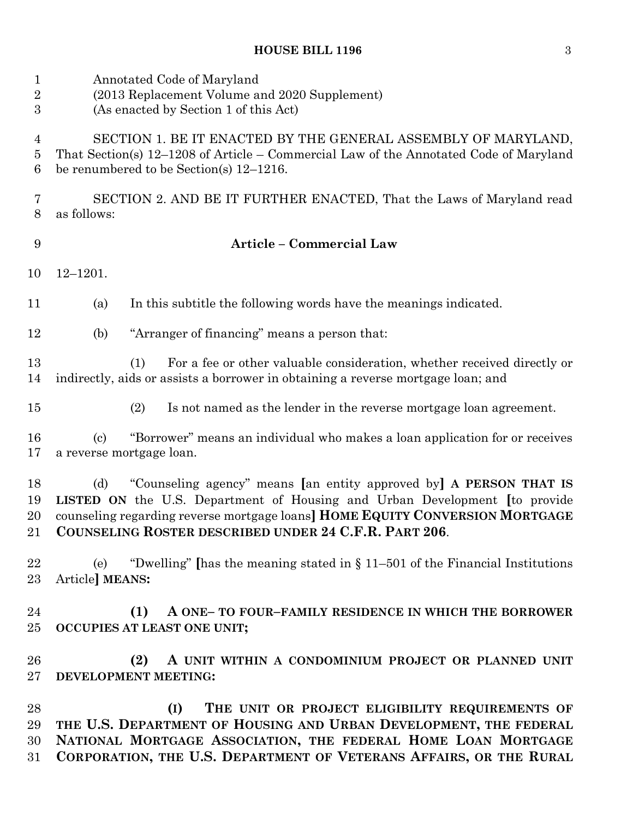| $\mathbf{1}$<br>$\overline{2}$<br>$\boldsymbol{3}$ | Annotated Code of Maryland<br>(2013 Replacement Volume and 2020 Supplement)<br>(As enacted by Section 1 of this Act)                                                                                                                                                                                    |
|----------------------------------------------------|---------------------------------------------------------------------------------------------------------------------------------------------------------------------------------------------------------------------------------------------------------------------------------------------------------|
| 4<br>5<br>6                                        | SECTION 1. BE IT ENACTED BY THE GENERAL ASSEMBLY OF MARYLAND,<br>That Section(s) 12-1208 of Article - Commercial Law of the Annotated Code of Maryland<br>be renumbered to be Section(s) $12-1216$ .                                                                                                    |
| 7<br>8                                             | SECTION 2. AND BE IT FURTHER ENACTED, That the Laws of Maryland read<br>as follows:                                                                                                                                                                                                                     |
| 9                                                  | <b>Article - Commercial Law</b>                                                                                                                                                                                                                                                                         |
| 10                                                 | $12 - 1201.$                                                                                                                                                                                                                                                                                            |
| 11                                                 | In this subtitle the following words have the meanings indicated.<br>(a)                                                                                                                                                                                                                                |
| 12                                                 | "Arranger of financing" means a person that:<br>(b)                                                                                                                                                                                                                                                     |
| 13<br>14                                           | For a fee or other valuable consideration, whether received directly or<br>(1)<br>indirectly, aids or assists a borrower in obtaining a reverse mortgage loan; and                                                                                                                                      |
| 15                                                 | (2)<br>Is not named as the lender in the reverse mortgage loan agreement.                                                                                                                                                                                                                               |
| 16<br>17                                           | "Borrower" means an individual who makes a loan application for or receives<br>$\left( \mathrm{c}\right)$<br>a reverse mortgage loan.                                                                                                                                                                   |
| 18<br>19<br>20<br>21                               | "Counseling agency" means [an entity approved by] A PERSON THAT IS<br>(d)<br><b>LISTED ON</b> the U.S. Department of Housing and Urban Development [to provide<br>counseling regarding reverse mortgage loans] HOME EQUITY CONVERSION MORTGAGE<br>COUNSELING ROSTER DESCRIBED UNDER 24 C.F.R. PART 206. |
| 22<br>$23\,$                                       | "Dwelling" [has the meaning stated in $\S 11-501$ of the Financial Institutions<br>(e)<br>Article] MEANS:                                                                                                                                                                                               |
| 24<br>25                                           | (1)<br>A ONE- TO FOUR-FAMILY RESIDENCE IN WHICH THE BORROWER<br>OCCUPIES AT LEAST ONE UNIT;                                                                                                                                                                                                             |
| 26<br>$27\,$                                       | A UNIT WITHIN A CONDOMINIUM PROJECT OR PLANNED UNIT<br>(2)<br>DEVELOPMENT MEETING:                                                                                                                                                                                                                      |
| 28<br>29<br>30<br>31                               | (I)<br>THE UNIT OR PROJECT ELIGIBILITY REQUIREMENTS OF<br>THE U.S. DEPARTMENT OF HOUSING AND URBAN DEVELOPMENT, THE FEDERAL<br>NATIONAL MORTGAGE ASSOCIATION, THE FEDERAL HOME LOAN MORTGAGE<br>CORPORATION, THE U.S. DEPARTMENT OF VETERANS AFFAIRS, OR THE RURAL                                      |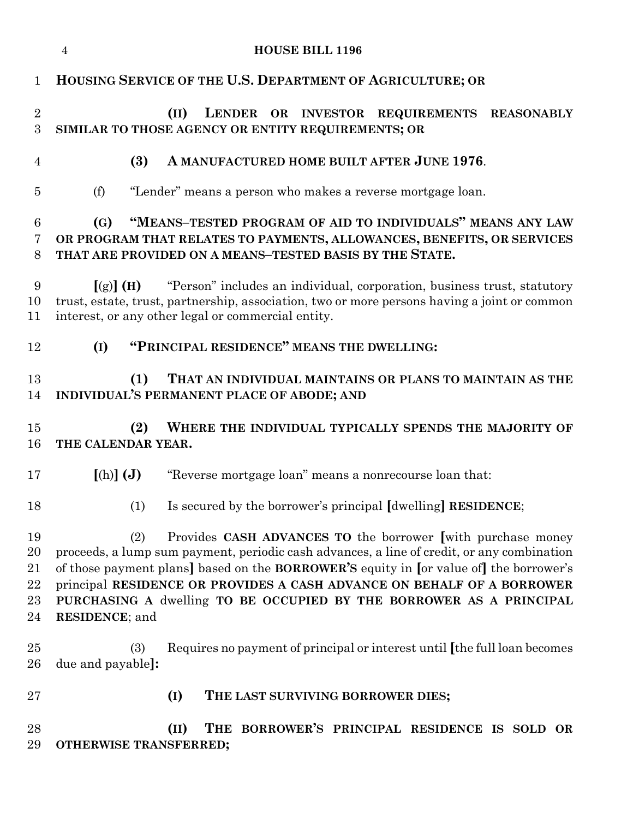|                                  | <b>HOUSE BILL 1196</b><br>$\overline{4}$                                                                                                                                                                                                                                                                                                                                                                                                     |
|----------------------------------|----------------------------------------------------------------------------------------------------------------------------------------------------------------------------------------------------------------------------------------------------------------------------------------------------------------------------------------------------------------------------------------------------------------------------------------------|
| $\mathbf{1}$                     | HOUSING SERVICE OF THE U.S. DEPARTMENT OF AGRICULTURE; OR                                                                                                                                                                                                                                                                                                                                                                                    |
| $\sqrt{2}$<br>3                  | (II)<br>LENDER OR INVESTOR REQUIREMENTS<br><b>REASONABLY</b><br>SIMILAR TO THOSE AGENCY OR ENTITY REQUIREMENTS; OR                                                                                                                                                                                                                                                                                                                           |
| $\overline{4}$                   | (3)<br>A MANUFACTURED HOME BUILT AFTER JUNE 1976.                                                                                                                                                                                                                                                                                                                                                                                            |
| $\overline{5}$                   | "Lender" means a person who makes a reverse mortgage loan.<br>(f)                                                                                                                                                                                                                                                                                                                                                                            |
| 6<br>7<br>8                      | "MEANS-TESTED PROGRAM OF AID TO INDIVIDUALS" MEANS ANY LAW<br>(G)<br>OR PROGRAM THAT RELATES TO PAYMENTS, ALLOWANCES, BENEFITS, OR SERVICES<br>THAT ARE PROVIDED ON A MEANS-TESTED BASIS BY THE STATE.                                                                                                                                                                                                                                       |
| 9<br>10<br>11                    | "Person" includes an individual, corporation, business trust, statutory<br>[(g)] (H)<br>trust, estate, trust, partnership, association, two or more persons having a joint or common<br>interest, or any other legal or commercial entity.                                                                                                                                                                                                   |
| 12                               | "PRINCIPAL RESIDENCE" MEANS THE DWELLING:<br>(I)                                                                                                                                                                                                                                                                                                                                                                                             |
| 13<br>14                         | (1)<br>THAT AN INDIVIDUAL MAINTAINS OR PLANS TO MAINTAIN AS THE<br>INDIVIDUAL'S PERMANENT PLACE OF ABODE; AND                                                                                                                                                                                                                                                                                                                                |
| 15<br>16                         | (2)<br>WHERE THE INDIVIDUAL TYPICALLY SPENDS THE MAJORITY OF<br>THE CALENDAR YEAR.                                                                                                                                                                                                                                                                                                                                                           |
| 17                               | "Reverse mortgage loan" means a nonrecourse loan that:<br>$[(h)]$ $(J)$                                                                                                                                                                                                                                                                                                                                                                      |
| 18                               | Is secured by the borrower's principal [dwelling] RESIDENCE;<br>(1)                                                                                                                                                                                                                                                                                                                                                                          |
| 19<br>20<br>21<br>22<br>23<br>24 | Provides CASH ADVANCES TO the borrower [with purchase money<br>(2)<br>proceeds, a lump sum payment, periodic cash advances, a line of credit, or any combination<br>of those payment plans] based on the <b>BORROWER'S</b> equity in [or value of] the borrower's<br>principal RESIDENCE OR PROVIDES A CASH ADVANCE ON BEHALF OF A BORROWER<br>PURCHASING A dwelling TO BE OCCUPIED BY THE BORROWER AS A PRINCIPAL<br><b>RESIDENCE</b> ; and |
| 25<br>26                         | Requires no payment of principal or interest until [the full loan becomes<br>(3)<br>due and payable]:                                                                                                                                                                                                                                                                                                                                        |
| 27                               | THE LAST SURVIVING BORROWER DIES;<br>(I)                                                                                                                                                                                                                                                                                                                                                                                                     |
| 28<br>29                         | THE BORROWER'S PRINCIPAL RESIDENCE IS SOLD OR<br>(II)<br>OTHERWISE TRANSFERRED;                                                                                                                                                                                                                                                                                                                                                              |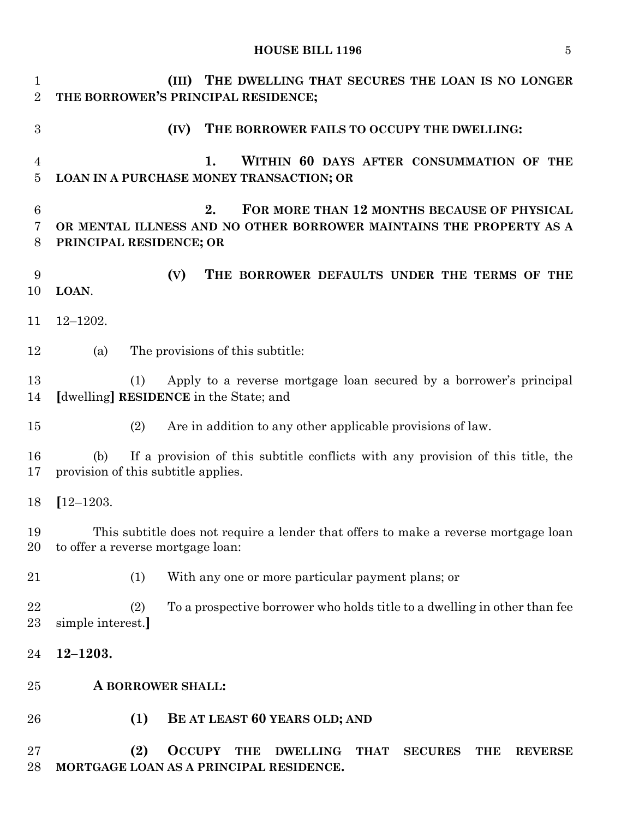| $\mathbf 1$<br>$\overline{2}$          | THE DWELLING THAT SECURES THE LOAN IS NO LONGER<br>(III)<br>THE BORROWER'S PRINCIPAL RESIDENCE;                                                                   |
|----------------------------------------|-------------------------------------------------------------------------------------------------------------------------------------------------------------------|
| 3                                      | THE BORROWER FAILS TO OCCUPY THE DWELLING:<br>(IV)                                                                                                                |
| $\overline{4}$<br>$\overline{5}$       | WITHIN 60 DAYS AFTER CONSUMMATION OF THE<br>1.<br>LOAN IN A PURCHASE MONEY TRANSACTION; OR                                                                        |
| $6\phantom{.}6$<br>$\overline{7}$<br>8 | FOR MORE THAN 12 MONTHS BECAUSE OF PHYSICAL<br>2.<br>OR MENTAL ILLNESS AND NO OTHER BORROWER MAINTAINS THE PROPERTY AS A<br>PRINCIPAL RESIDENCE; OR               |
| 9<br>10                                | (V)<br>THE BORROWER DEFAULTS UNDER THE TERMS OF THE<br>LOAN.                                                                                                      |
| 11                                     | $12 - 1202.$                                                                                                                                                      |
| 12                                     | The provisions of this subtitle:<br>(a)                                                                                                                           |
| 13<br>14                               | Apply to a reverse mortgage loan secured by a borrower's principal<br>(1)<br>[dwelling] RESIDENCE in the State; and                                               |
| 15                                     | Are in addition to any other applicable provisions of law.<br>(2)                                                                                                 |
| 16<br>17                               | If a provision of this subtitle conflicts with any provision of this title, the<br>(b)<br>provision of this subtitle applies.                                     |
| 18                                     | $[12 - 1203]$                                                                                                                                                     |
| 19<br>20                               | This subtitle does not require a lender that offers to make a reverse mortgage loan<br>to offer a reverse mortgage loan:                                          |
| 21                                     | (1)<br>With any one or more particular payment plans; or                                                                                                          |
| 22<br>23                               | To a prospective borrower who holds title to a dwelling in other than fee<br>(2)<br>simple interest.]                                                             |
| 24                                     | $12 - 1203.$                                                                                                                                                      |
| 25                                     | A BORROWER SHALL:                                                                                                                                                 |
| 26                                     | (1)<br>BE AT LEAST 60 YEARS OLD; AND                                                                                                                              |
| 27<br>28                               | (2)<br><b>OCCUPY</b><br><b>THE</b><br><b>DWELLING</b><br><b>THAT</b><br><b>SECURES</b><br><b>REVERSE</b><br><b>THE</b><br>MORTGAGE LOAN AS A PRINCIPAL RESIDENCE. |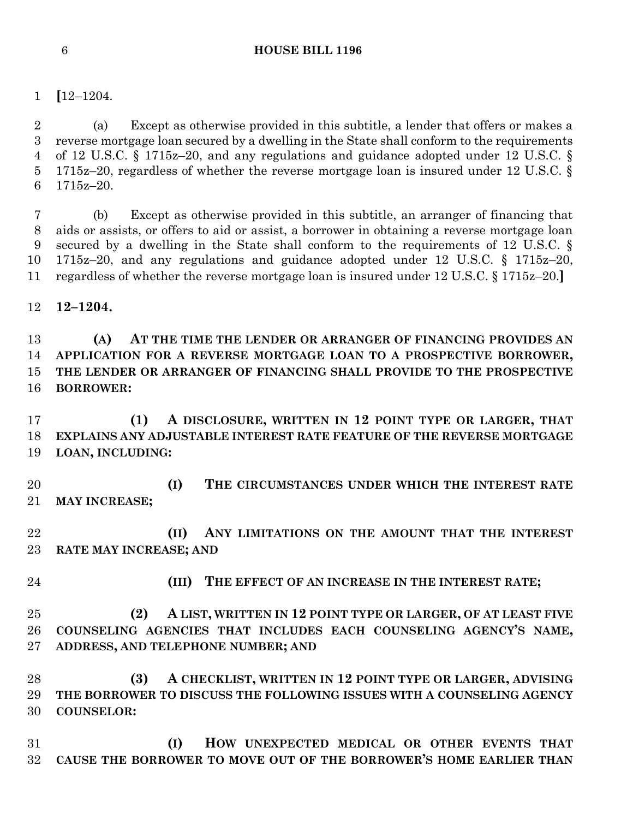**[**12–1204.

 (a) Except as otherwise provided in this subtitle, a lender that offers or makes a reverse mortgage loan secured by a dwelling in the State shall conform to the requirements of 12 U.S.C. § 1715z–20, and any regulations and guidance adopted under 12 U.S.C. § 1715z–20, regardless of whether the reverse mortgage loan is insured under 12 U.S.C. § 1715z–20.

 (b) Except as otherwise provided in this subtitle, an arranger of financing that aids or assists, or offers to aid or assist, a borrower in obtaining a reverse mortgage loan secured by a dwelling in the State shall conform to the requirements of 12 U.S.C. § 1715z–20, and any regulations and guidance adopted under 12 U.S.C. § 1715z–20, regardless of whether the reverse mortgage loan is insured under 12 U.S.C. § 1715z–20.**]**

**12–1204.**

 **(A) AT THE TIME THE LENDER OR ARRANGER OF FINANCING PROVIDES AN APPLICATION FOR A REVERSE MORTGAGE LOAN TO A PROSPECTIVE BORROWER, THE LENDER OR ARRANGER OF FINANCING SHALL PROVIDE TO THE PROSPECTIVE BORROWER:**

 **(1) A DISCLOSURE, WRITTEN IN 12 POINT TYPE OR LARGER, THAT EXPLAINS ANY ADJUSTABLE INTEREST RATE FEATURE OF THE REVERSE MORTGAGE LOAN, INCLUDING:**

 **(I) THE CIRCUMSTANCES UNDER WHICH THE INTEREST RATE MAY INCREASE;**

 **(II) ANY LIMITATIONS ON THE AMOUNT THAT THE INTEREST RATE MAY INCREASE; AND** 

- 
- **(III) THE EFFECT OF AN INCREASE IN THE INTEREST RATE;**

 **(2) A LIST, WRITTEN IN 12 POINT TYPE OR LARGER, OF AT LEAST FIVE COUNSELING AGENCIES THAT INCLUDES EACH COUNSELING AGENCY'S NAME, ADDRESS, AND TELEPHONE NUMBER; AND**

 **(3) A CHECKLIST, WRITTEN IN 12 POINT TYPE OR LARGER, ADVISING THE BORROWER TO DISCUSS THE FOLLOWING ISSUES WITH A COUNSELING AGENCY COUNSELOR:**

 **(I) HOW UNEXPECTED MEDICAL OR OTHER EVENTS THAT CAUSE THE BORROWER TO MOVE OUT OF THE BORROWER'S HOME EARLIER THAN**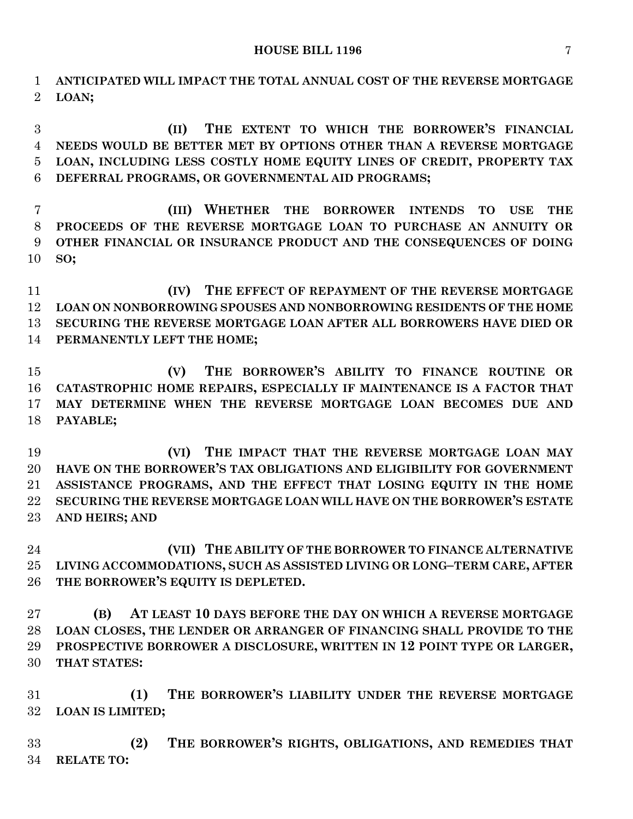**ANTICIPATED WILL IMPACT THE TOTAL ANNUAL COST OF THE REVERSE MORTGAGE LOAN;**

 **(II) THE EXTENT TO WHICH THE BORROWER'S FINANCIAL NEEDS WOULD BE BETTER MET BY OPTIONS OTHER THAN A REVERSE MORTGAGE LOAN, INCLUDING LESS COSTLY HOME EQUITY LINES OF CREDIT, PROPERTY TAX DEFERRAL PROGRAMS, OR GOVERNMENTAL AID PROGRAMS;**

 **(III) WHETHER THE BORROWER INTENDS TO USE THE PROCEEDS OF THE REVERSE MORTGAGE LOAN TO PURCHASE AN ANNUITY OR OTHER FINANCIAL OR INSURANCE PRODUCT AND THE CONSEQUENCES OF DOING SO;**

 **(IV) THE EFFECT OF REPAYMENT OF THE REVERSE MORTGAGE LOAN ON NONBORROWING SPOUSES AND NONBORROWING RESIDENTS OF THE HOME SECURING THE REVERSE MORTGAGE LOAN AFTER ALL BORROWERS HAVE DIED OR PERMANENTLY LEFT THE HOME;**

 **(V) THE BORROWER'S ABILITY TO FINANCE ROUTINE OR CATASTROPHIC HOME REPAIRS, ESPECIALLY IF MAINTENANCE IS A FACTOR THAT MAY DETERMINE WHEN THE REVERSE MORTGAGE LOAN BECOMES DUE AND PAYABLE;**

 **(VI) THE IMPACT THAT THE REVERSE MORTGAGE LOAN MAY HAVE ON THE BORROWER'S TAX OBLIGATIONS AND ELIGIBILITY FOR GOVERNMENT ASSISTANCE PROGRAMS, AND THE EFFECT THAT LOSING EQUITY IN THE HOME SECURING THE REVERSE MORTGAGE LOAN WILL HAVE ON THE BORROWER'S ESTATE AND HEIRS; AND**

 **(VII) THE ABILITY OF THE BORROWER TO FINANCE ALTERNATIVE LIVING ACCOMMODATIONS, SUCH AS ASSISTED LIVING OR LONG–TERM CARE, AFTER THE BORROWER'S EQUITY IS DEPLETED.**

 **(B) AT LEAST 10 DAYS BEFORE THE DAY ON WHICH A REVERSE MORTGAGE LOAN CLOSES, THE LENDER OR ARRANGER OF FINANCING SHALL PROVIDE TO THE PROSPECTIVE BORROWER A DISCLOSURE, WRITTEN IN 12 POINT TYPE OR LARGER, THAT STATES:**

 **(1) THE BORROWER'S LIABILITY UNDER THE REVERSE MORTGAGE LOAN IS LIMITED;**

 **(2) THE BORROWER'S RIGHTS, OBLIGATIONS, AND REMEDIES THAT RELATE TO:**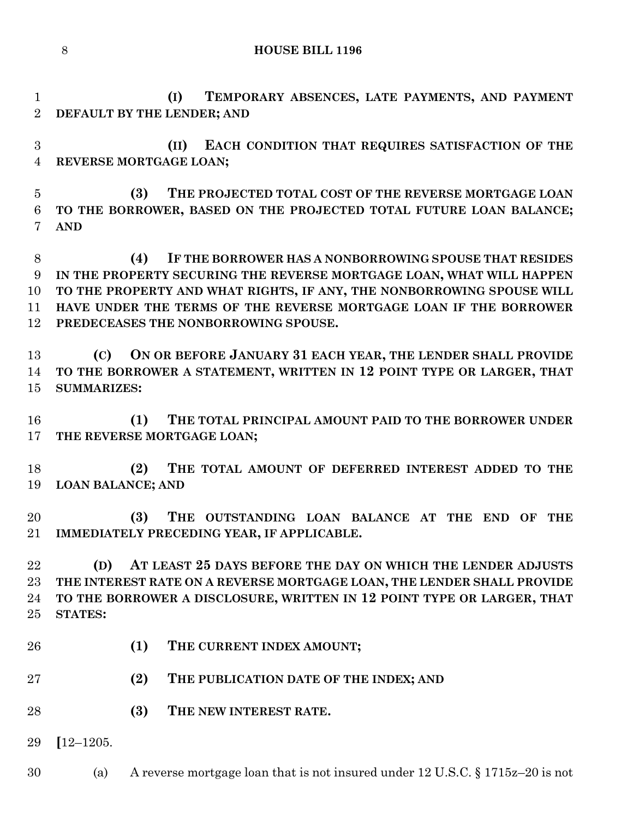**(I) TEMPORARY ABSENCES, LATE PAYMENTS, AND PAYMENT DEFAULT BY THE LENDER; AND**

 **(II) EACH CONDITION THAT REQUIRES SATISFACTION OF THE REVERSE MORTGAGE LOAN;**

 **(3) THE PROJECTED TOTAL COST OF THE REVERSE MORTGAGE LOAN TO THE BORROWER, BASED ON THE PROJECTED TOTAL FUTURE LOAN BALANCE; AND**

 **(4) IF THE BORROWER HAS A NONBORROWING SPOUSE THAT RESIDES IN THE PROPERTY SECURING THE REVERSE MORTGAGE LOAN, WHAT WILL HAPPEN TO THE PROPERTY AND WHAT RIGHTS, IF ANY, THE NONBORROWING SPOUSE WILL HAVE UNDER THE TERMS OF THE REVERSE MORTGAGE LOAN IF THE BORROWER PREDECEASES THE NONBORROWING SPOUSE.**

 **(C) ON OR BEFORE JANUARY 31 EACH YEAR, THE LENDER SHALL PROVIDE TO THE BORROWER A STATEMENT, WRITTEN IN 12 POINT TYPE OR LARGER, THAT SUMMARIZES:**

 **(1) THE TOTAL PRINCIPAL AMOUNT PAID TO THE BORROWER UNDER THE REVERSE MORTGAGE LOAN;**

 **(2) THE TOTAL AMOUNT OF DEFERRED INTEREST ADDED TO THE LOAN BALANCE; AND**

 **(3) THE OUTSTANDING LOAN BALANCE AT THE END OF THE IMMEDIATELY PRECEDING YEAR, IF APPLICABLE.**

 **(D) AT LEAST 25 DAYS BEFORE THE DAY ON WHICH THE LENDER ADJUSTS THE INTEREST RATE ON A REVERSE MORTGAGE LOAN, THE LENDER SHALL PROVIDE TO THE BORROWER A DISCLOSURE, WRITTEN IN 12 POINT TYPE OR LARGER, THAT STATES:**

- **(1) THE CURRENT INDEX AMOUNT;**
- **(2) THE PUBLICATION DATE OF THE INDEX; AND**
- **(3) THE NEW INTEREST RATE.**

**[**12–1205.

(a) A reverse mortgage loan that is not insured under 12 U.S.C. § 1715z–20 is not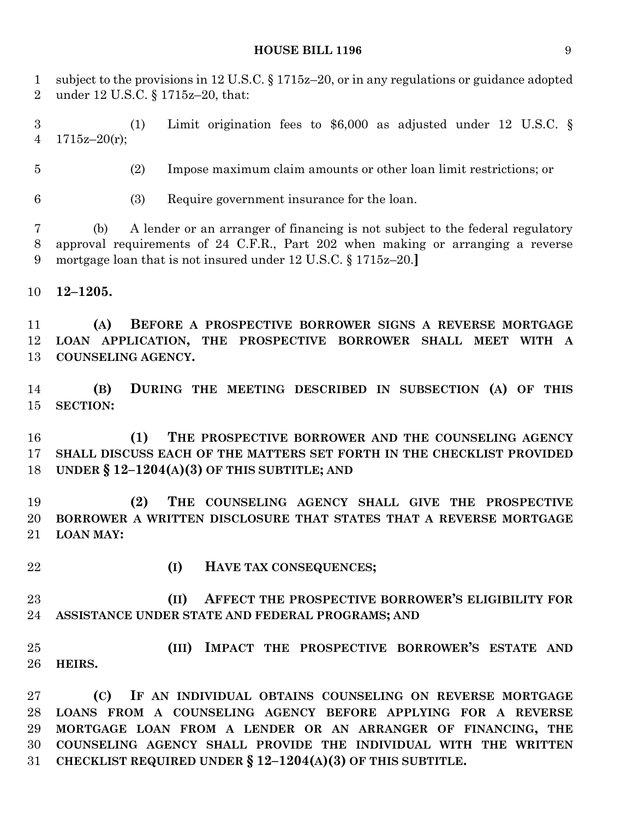subject to the provisions in 12 U.S.C. § 1715z–20, or in any regulations or guidance adopted under 12 U.S.C. § 1715z–20, that:

 (1) Limit origination fees to \$6,000 as adjusted under 12 U.S.C. § 4  $1715z-20(r)$ ;

(2) Impose maximum claim amounts or other loan limit restrictions; or

(3) Require government insurance for the loan.

 (b) A lender or an arranger of financing is not subject to the federal regulatory approval requirements of 24 C.F.R., Part 202 when making or arranging a reverse mortgage loan that is not insured under 12 U.S.C. § 1715z–20.**]**

**12–1205.**

 **(A) BEFORE A PROSPECTIVE BORROWER SIGNS A REVERSE MORTGAGE LOAN APPLICATION, THE PROSPECTIVE BORROWER SHALL MEET WITH A COUNSELING AGENCY.**

 **(B) DURING THE MEETING DESCRIBED IN SUBSECTION (A) OF THIS SECTION:**

 **(1) THE PROSPECTIVE BORROWER AND THE COUNSELING AGENCY SHALL DISCUSS EACH OF THE MATTERS SET FORTH IN THE CHECKLIST PROVIDED UNDER § 12–1204(A)(3) OF THIS SUBTITLE; AND**

 **(2) THE COUNSELING AGENCY SHALL GIVE THE PROSPECTIVE BORROWER A WRITTEN DISCLOSURE THAT STATES THAT A REVERSE MORTGAGE LOAN MAY:**

- 
- **(I) HAVE TAX CONSEQUENCES;**

 **(II) AFFECT THE PROSPECTIVE BORROWER'S ELIGIBILITY FOR ASSISTANCE UNDER STATE AND FEDERAL PROGRAMS; AND**

 **(III) IMPACT THE PROSPECTIVE BORROWER'S ESTATE AND HEIRS.**

 **(C) IF AN INDIVIDUAL OBTAINS COUNSELING ON REVERSE MORTGAGE LOANS FROM A COUNSELING AGENCY BEFORE APPLYING FOR A REVERSE MORTGAGE LOAN FROM A LENDER OR AN ARRANGER OF FINANCING, THE COUNSELING AGENCY SHALL PROVIDE THE INDIVIDUAL WITH THE WRITTEN CHECKLIST REQUIRED UNDER § 12–1204(A)(3) OF THIS SUBTITLE.**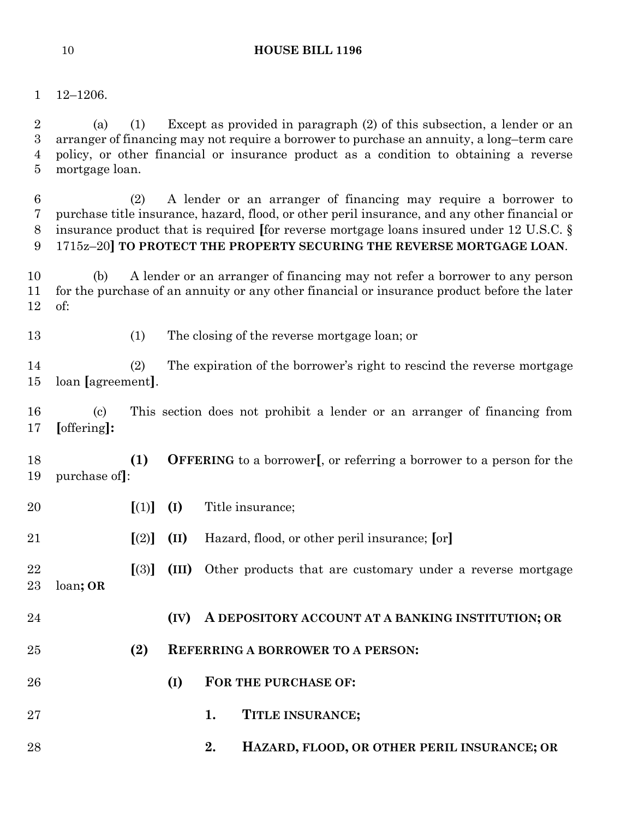12–1206.

 (a) (1) Except as provided in paragraph (2) of this subsection, a lender or an arranger of financing may not require a borrower to purchase an annuity, a long–term care policy, or other financial or insurance product as a condition to obtaining a reverse mortgage loan.

 (2) A lender or an arranger of financing may require a borrower to purchase title insurance, hazard, flood, or other peril insurance, and any other financial or insurance product that is required **[**for reverse mortgage loans insured under 12 U.S.C. § 1715z–20**] TO PROTECT THE PROPERTY SECURING THE REVERSE MORTGAGE LOAN**.

 (b) A lender or an arranger of financing may not refer a borrower to any person for the purchase of an annuity or any other financial or insurance product before the later of:

(1) The closing of the reverse mortgage loan; or

 (2) The expiration of the borrower's right to rescind the reverse mortgage loan **[**agreement**]**.

 (c) This section does not prohibit a lender or an arranger of financing from **[**offering**]:**

 **(1) OFFERING** to a borrower**[**, or referring a borrower to a person for the purchase of**]**:

- **[**(1)**] (I)** Title insurance;
- **[**(2)**] (II)** Hazard, flood, or other peril insurance; **[**or**]**

 **[**(3)**] (III)** Other products that are customary under a reverse mortgage loan**; OR**

- **(IV) A DEPOSITORY ACCOUNT AT A BANKING INSTITUTION; OR**
- **(2) REFERRING A BORROWER TO A PERSON:**
- **(I) FOR THE PURCHASE OF:**
- **1. TITLE INSURANCE;**
- **2. HAZARD, FLOOD, OR OTHER PERIL INSURANCE; OR**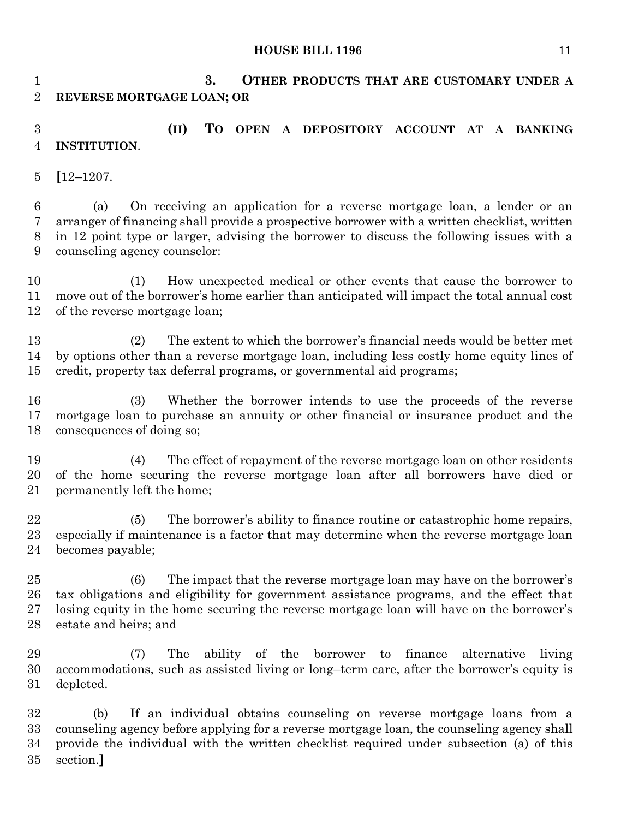**3. OTHER PRODUCTS THAT ARE CUSTOMARY UNDER A REVERSE MORTGAGE LOAN; OR**

 **(II) TO OPEN A DEPOSITORY ACCOUNT AT A BANKING INSTITUTION**.

**[**12–1207.

 (a) On receiving an application for a reverse mortgage loan, a lender or an arranger of financing shall provide a prospective borrower with a written checklist, written in 12 point type or larger, advising the borrower to discuss the following issues with a counseling agency counselor:

 (1) How unexpected medical or other events that cause the borrower to move out of the borrower's home earlier than anticipated will impact the total annual cost of the reverse mortgage loan;

 (2) The extent to which the borrower's financial needs would be better met by options other than a reverse mortgage loan, including less costly home equity lines of credit, property tax deferral programs, or governmental aid programs;

 (3) Whether the borrower intends to use the proceeds of the reverse mortgage loan to purchase an annuity or other financial or insurance product and the consequences of doing so;

 (4) The effect of repayment of the reverse mortgage loan on other residents of the home securing the reverse mortgage loan after all borrowers have died or permanently left the home;

 (5) The borrower's ability to finance routine or catastrophic home repairs, especially if maintenance is a factor that may determine when the reverse mortgage loan becomes payable;

 (6) The impact that the reverse mortgage loan may have on the borrower's tax obligations and eligibility for government assistance programs, and the effect that losing equity in the home securing the reverse mortgage loan will have on the borrower's estate and heirs; and

 (7) The ability of the borrower to finance alternative living accommodations, such as assisted living or long–term care, after the borrower's equity is depleted.

 (b) If an individual obtains counseling on reverse mortgage loans from a counseling agency before applying for a reverse mortgage loan, the counseling agency shall provide the individual with the written checklist required under subsection (a) of this section.**]**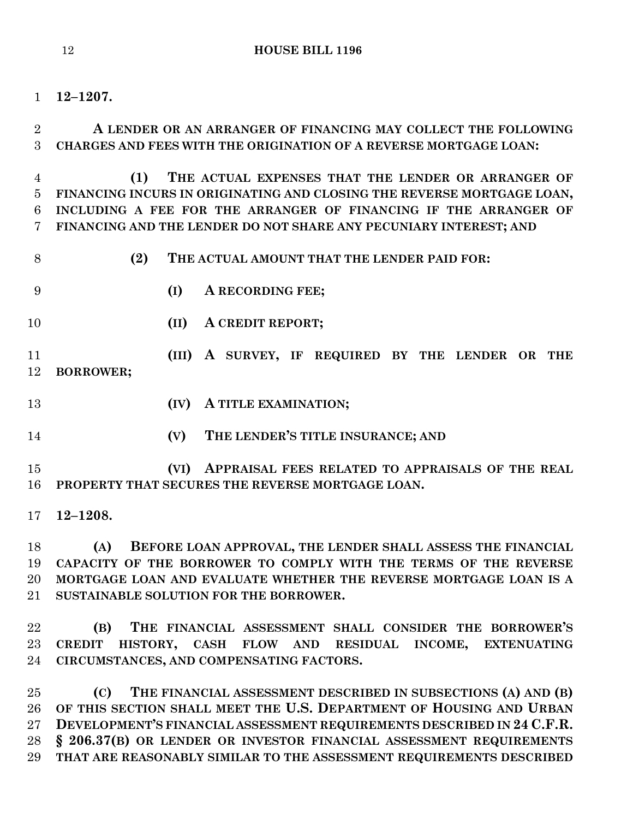**12–1207.**

 **A LENDER OR AN ARRANGER OF FINANCING MAY COLLECT THE FOLLOWING CHARGES AND FEES WITH THE ORIGINATION OF A REVERSE MORTGAGE LOAN:**

 **(1) THE ACTUAL EXPENSES THAT THE LENDER OR ARRANGER OF FINANCING INCURS IN ORIGINATING AND CLOSING THE REVERSE MORTGAGE LOAN, INCLUDING A FEE FOR THE ARRANGER OF FINANCING IF THE ARRANGER OF FINANCING AND THE LENDER DO NOT SHARE ANY PECUNIARY INTEREST; AND**

**(2) THE ACTUAL AMOUNT THAT THE LENDER PAID FOR:**

- **(I) A RECORDING FEE;**
- **(II) A CREDIT REPORT;**

 **(III) A SURVEY, IF REQUIRED BY THE LENDER OR THE BORROWER;**

- **(IV) A TITLE EXAMINATION;**
- 

**(V) THE LENDER'S TITLE INSURANCE; AND**

 **(VI) APPRAISAL FEES RELATED TO APPRAISALS OF THE REAL PROPERTY THAT SECURES THE REVERSE MORTGAGE LOAN.**

**12–1208.**

 **(A) BEFORE LOAN APPROVAL, THE LENDER SHALL ASSESS THE FINANCIAL CAPACITY OF THE BORROWER TO COMPLY WITH THE TERMS OF THE REVERSE MORTGAGE LOAN AND EVALUATE WHETHER THE REVERSE MORTGAGE LOAN IS A SUSTAINABLE SOLUTION FOR THE BORROWER.**

 **(B) THE FINANCIAL ASSESSMENT SHALL CONSIDER THE BORROWER'S CREDIT HISTORY, CASH FLOW AND RESIDUAL INCOME, EXTENUATING CIRCUMSTANCES, AND COMPENSATING FACTORS.**

 **(C) THE FINANCIAL ASSESSMENT DESCRIBED IN SUBSECTIONS (A) AND (B)** 26 OF THIS SECTION SHALL MEET THE U.S. DEPARTMENT OF HOUSING AND URBAN **DEVELOPMENT'S FINANCIAL ASSESSMENT REQUIREMENTS DESCRIBED IN 24 C.F.R. § 206.37(B) OR LENDER OR INVESTOR FINANCIAL ASSESSMENT REQUIREMENTS THAT ARE REASONABLY SIMILAR TO THE ASSESSMENT REQUIREMENTS DESCRIBED**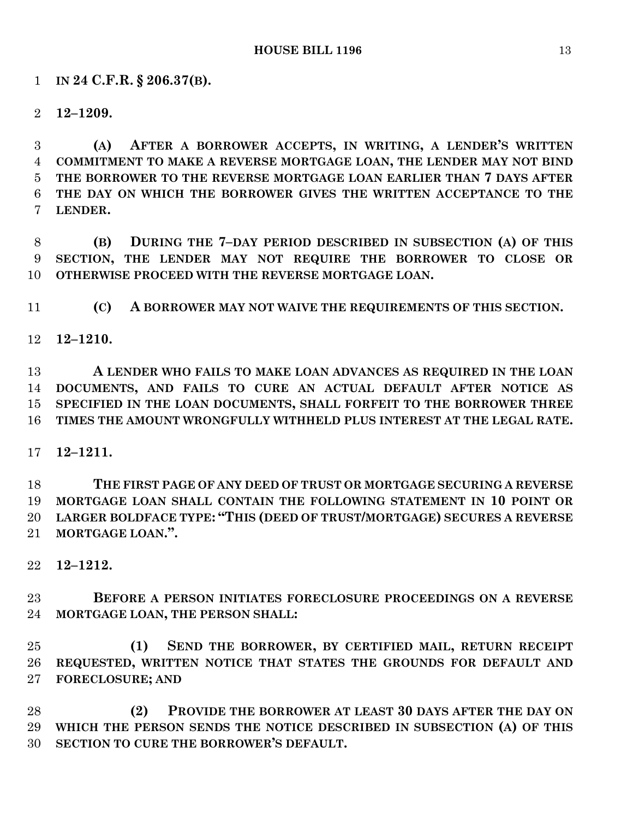## **IN 24 C.F.R. § 206.37(B).**

**12–1209.**

 **(A) AFTER A BORROWER ACCEPTS, IN WRITING, A LENDER'S WRITTEN COMMITMENT TO MAKE A REVERSE MORTGAGE LOAN, THE LENDER MAY NOT BIND THE BORROWER TO THE REVERSE MORTGAGE LOAN EARLIER THAN 7 DAYS AFTER THE DAY ON WHICH THE BORROWER GIVES THE WRITTEN ACCEPTANCE TO THE LENDER.**

 **(B) DURING THE 7–DAY PERIOD DESCRIBED IN SUBSECTION (A) OF THIS SECTION, THE LENDER MAY NOT REQUIRE THE BORROWER TO CLOSE OR OTHERWISE PROCEED WITH THE REVERSE MORTGAGE LOAN.**

**(C) A BORROWER MAY NOT WAIVE THE REQUIREMENTS OF THIS SECTION.**

## **12–1210.**

 **A LENDER WHO FAILS TO MAKE LOAN ADVANCES AS REQUIRED IN THE LOAN DOCUMENTS, AND FAILS TO CURE AN ACTUAL DEFAULT AFTER NOTICE AS SPECIFIED IN THE LOAN DOCUMENTS, SHALL FORFEIT TO THE BORROWER THREE TIMES THE AMOUNT WRONGFULLY WITHHELD PLUS INTEREST AT THE LEGAL RATE.**

**12–1211.**

 **THE FIRST PAGE OF ANY DEED OF TRUST OR MORTGAGE SECURING A REVERSE MORTGAGE LOAN SHALL CONTAIN THE FOLLOWING STATEMENT IN 10 POINT OR LARGER BOLDFACE TYPE: "THIS (DEED OF TRUST/MORTGAGE) SECURES A REVERSE MORTGAGE LOAN.".**

**12–1212.**

 **BEFORE A PERSON INITIATES FORECLOSURE PROCEEDINGS ON A REVERSE MORTGAGE LOAN, THE PERSON SHALL:**

 **(1) SEND THE BORROWER, BY CERTIFIED MAIL, RETURN RECEIPT REQUESTED, WRITTEN NOTICE THAT STATES THE GROUNDS FOR DEFAULT AND FORECLOSURE; AND**

 **(2) PROVIDE THE BORROWER AT LEAST 30 DAYS AFTER THE DAY ON WHICH THE PERSON SENDS THE NOTICE DESCRIBED IN SUBSECTION (A) OF THIS SECTION TO CURE THE BORROWER'S DEFAULT.**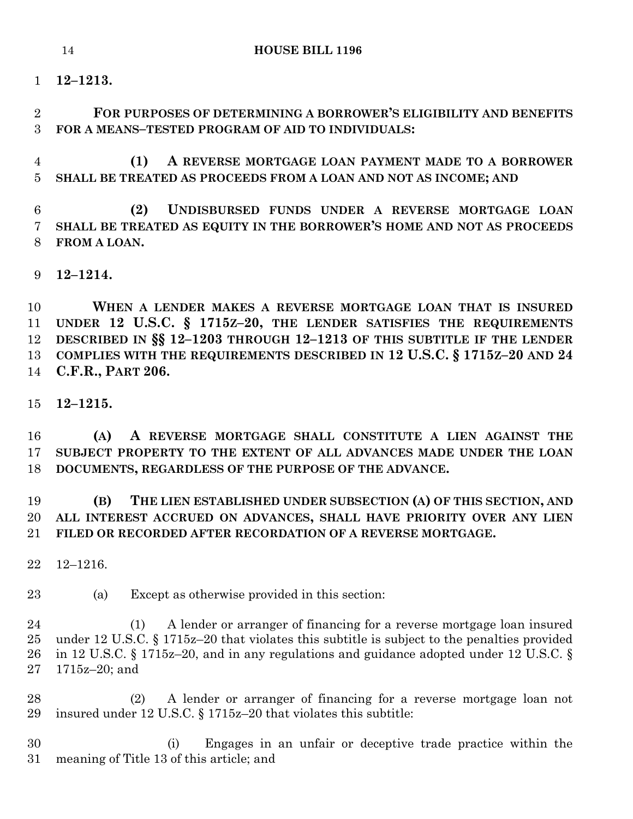**12–1213.**

 **FOR PURPOSES OF DETERMINING A BORROWER'S ELIGIBILITY AND BENEFITS FOR A MEANS–TESTED PROGRAM OF AID TO INDIVIDUALS:**

 **(1) A REVERSE MORTGAGE LOAN PAYMENT MADE TO A BORROWER SHALL BE TREATED AS PROCEEDS FROM A LOAN AND NOT AS INCOME; AND**

 **(2) UNDISBURSED FUNDS UNDER A REVERSE MORTGAGE LOAN SHALL BE TREATED AS EQUITY IN THE BORROWER'S HOME AND NOT AS PROCEEDS FROM A LOAN.**

**12–1214.**

 **WHEN A LENDER MAKES A REVERSE MORTGAGE LOAN THAT IS INSURED UNDER 12 U.S.C. § 1715Z–20, THE LENDER SATISFIES THE REQUIREMENTS DESCRIBED IN §§ 12–1203 THROUGH 12–1213 OF THIS SUBTITLE IF THE LENDER COMPLIES WITH THE REQUIREMENTS DESCRIBED IN 12 U.S.C. § 1715Z–20 AND 24 C.F.R., PART 206.**

**12–1215.**

 **(A) A REVERSE MORTGAGE SHALL CONSTITUTE A LIEN AGAINST THE SUBJECT PROPERTY TO THE EXTENT OF ALL ADVANCES MADE UNDER THE LOAN DOCUMENTS, REGARDLESS OF THE PURPOSE OF THE ADVANCE.**

 **(B) THE LIEN ESTABLISHED UNDER SUBSECTION (A) OF THIS SECTION, AND ALL INTEREST ACCRUED ON ADVANCES, SHALL HAVE PRIORITY OVER ANY LIEN FILED OR RECORDED AFTER RECORDATION OF A REVERSE MORTGAGE.**

12–1216.

(a) Except as otherwise provided in this section:

 (1) A lender or arranger of financing for a reverse mortgage loan insured under 12 U.S.C. § 1715z–20 that violates this subtitle is subject to the penalties provided in 12 U.S.C. § 1715z–20, and in any regulations and guidance adopted under 12 U.S.C. § 1715z–20; and

 (2) A lender or arranger of financing for a reverse mortgage loan not insured under 12 U.S.C. § 1715z–20 that violates this subtitle:

 (i) Engages in an unfair or deceptive trade practice within the meaning of Title 13 of this article; and